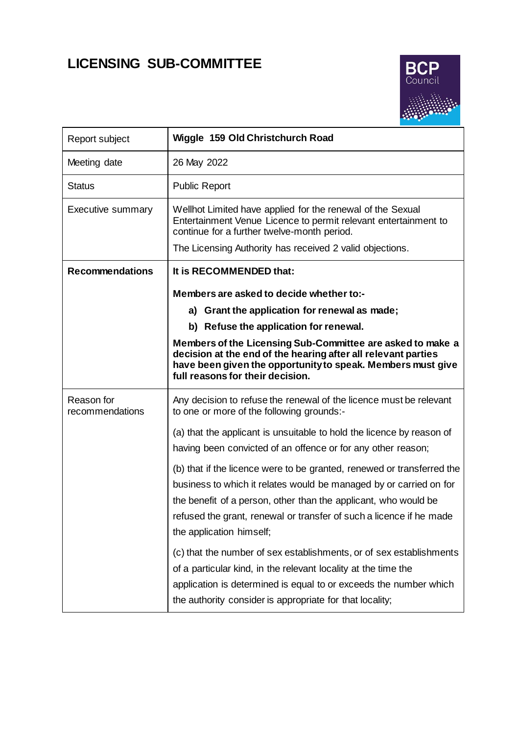# **LICENSING SUB-COMMITTEE**



| Report subject                | Wiggle 159 Old Christchurch Road                                                                                                                                                                                                                                                                                   |
|-------------------------------|--------------------------------------------------------------------------------------------------------------------------------------------------------------------------------------------------------------------------------------------------------------------------------------------------------------------|
| Meeting date                  | 26 May 2022                                                                                                                                                                                                                                                                                                        |
| <b>Status</b>                 | <b>Public Report</b>                                                                                                                                                                                                                                                                                               |
| <b>Executive summary</b>      | Wellhot Limited have applied for the renewal of the Sexual<br>Entertainment Venue Licence to permit relevant entertainment to<br>continue for a further twelve-month period.                                                                                                                                       |
|                               | The Licensing Authority has received 2 valid objections.                                                                                                                                                                                                                                                           |
| <b>Recommendations</b>        | It is RECOMMENDED that:                                                                                                                                                                                                                                                                                            |
|                               | Members are asked to decide whether to:-                                                                                                                                                                                                                                                                           |
|                               | a) Grant the application for renewal as made;                                                                                                                                                                                                                                                                      |
|                               | b) Refuse the application for renewal.                                                                                                                                                                                                                                                                             |
|                               | Members of the Licensing Sub-Committee are asked to make a<br>decision at the end of the hearing after all relevant parties<br>have been given the opportunity to speak. Members must give<br>full reasons for their decision.                                                                                     |
| Reason for<br>recommendations | Any decision to refuse the renewal of the licence must be relevant<br>to one or more of the following grounds:-                                                                                                                                                                                                    |
|                               | (a) that the applicant is unsuitable to hold the licence by reason of<br>having been convicted of an offence or for any other reason;                                                                                                                                                                              |
|                               | (b) that if the licence were to be granted, renewed or transferred the<br>business to which it relates would be managed by or carried on for<br>the benefit of a person, other than the applicant, who would be<br>refused the grant, renewal or transfer of such a licence if he made<br>the application himself; |
|                               | (c) that the number of sex establishments, or of sex establishments<br>of a particular kind, in the relevant locality at the time the<br>application is determined is equal to or exceeds the number which<br>the authority consider is appropriate for that locality;                                             |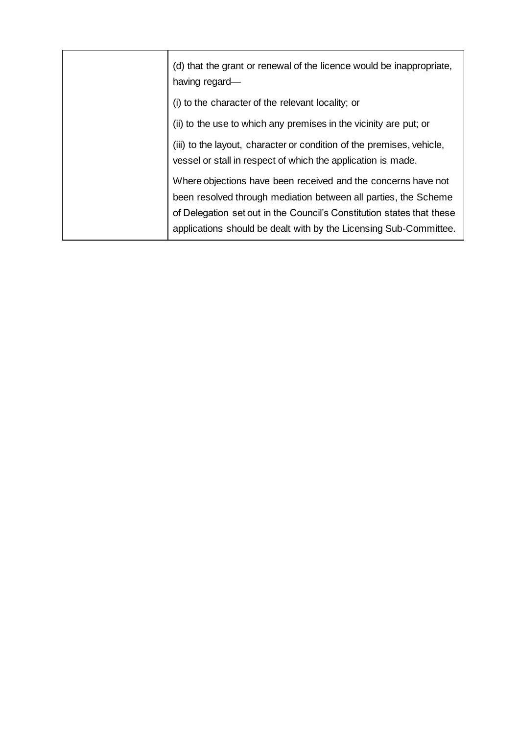| (d) that the grant or renewal of the licence would be inappropriate,<br>having regard-                                                                                                                                                                                         |
|--------------------------------------------------------------------------------------------------------------------------------------------------------------------------------------------------------------------------------------------------------------------------------|
| (i) to the character of the relevant locality; or                                                                                                                                                                                                                              |
| (ii) to the use to which any premises in the vicinity are put; or                                                                                                                                                                                                              |
| (iii) to the layout, character or condition of the premises, vehicle,<br>vessel or stall in respect of which the application is made.                                                                                                                                          |
| Where objections have been received and the concerns have not<br>been resolved through mediation between all parties, the Scheme<br>of Delegation set out in the Council's Constitution states that these<br>applications should be dealt with by the Licensing Sub-Committee. |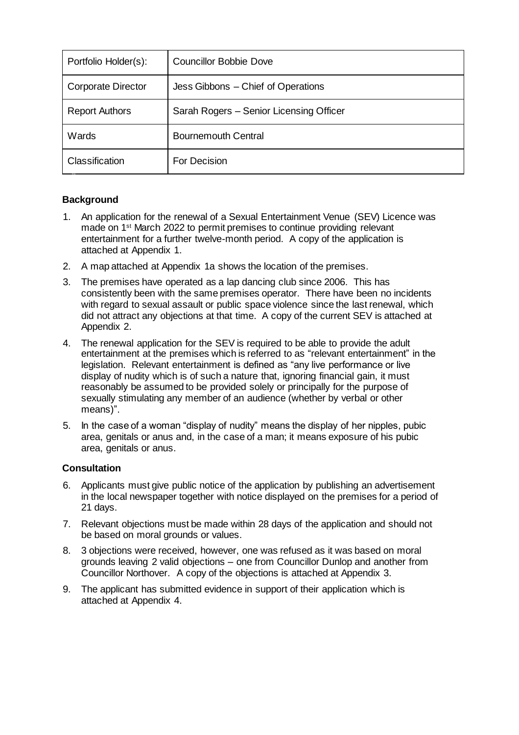| Portfolio Holder(s):      | <b>Councillor Bobbie Dove</b>           |
|---------------------------|-----------------------------------------|
| <b>Corporate Director</b> | Jess Gibbons - Chief of Operations      |
| <b>Report Authors</b>     | Sarah Rogers - Senior Licensing Officer |
| Wards                     | <b>Bournemouth Central</b>              |
| Classification            | For Decision                            |

# **Background**

- 1. An application for the renewal of a Sexual Entertainment Venue (SEV) Licence was made on 1st March 2022 to permit premises to continue providing relevant entertainment for a further twelve-month period. A copy of the application is attached at Appendix 1.
- 2. A map attached at Appendix 1a shows the location of the premises.
- 3. The premises have operated as a lap dancing club since 2006. This has consistently been with the same premises operator. There have been no incidents with regard to sexual assault or public space violence since the last renewal, which did not attract any objections at that time. A copy of the current SEV is attached at Appendix 2.
- 4. The renewal application for the SEV is required to be able to provide the adult entertainment at the premises which is referred to as "relevant entertainment" in the legislation. Relevant entertainment is defined as "any live performance or live display of nudity which is of such a nature that, ignoring financial gain, it must reasonably be assumed to be provided solely or principally for the purpose of sexually stimulating any member of an audience (whether by verbal or other means)".
- 5. In the case of a woman "display of nudity" means the display of her nipples, pubic area, genitals or anus and, in the case of a man; it means exposure of his pubic area, genitals or anus.

# **Consultation**

- 6. Applicants must give public notice of the application by publishing an advertisement in the local newspaper together with notice displayed on the premises for a period of 21 days.
- 7. Relevant objections must be made within 28 days of the application and should not be based on moral grounds or values.
- 8. 3 objections were received, however, one was refused as it was based on moral grounds leaving 2 valid objections – one from Councillor Dunlop and another from Councillor Northover. A copy of the objections is attached at Appendix 3.
- 9. The applicant has submitted evidence in support of their application which is attached at Appendix 4.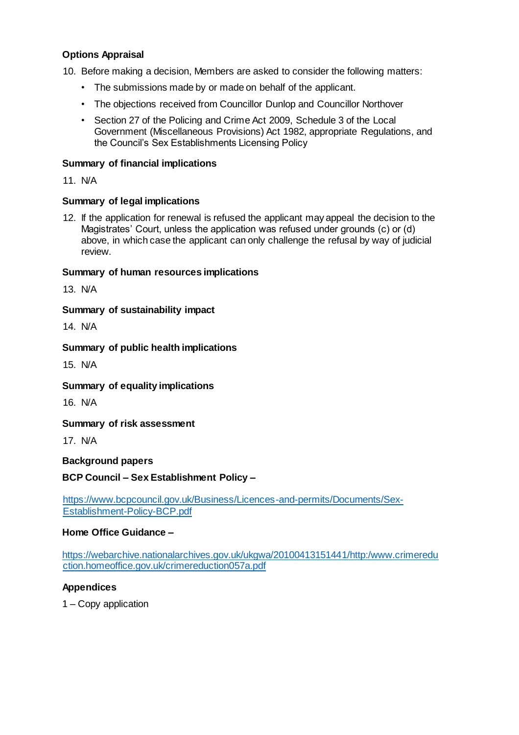# **Options Appraisal**

10. Before making a decision, Members are asked to consider the following matters:

- The submissions made by or made on behalf of the applicant.
- The objections received from Councillor Dunlop and Councillor Northover
- Section 27 of the Policing and Crime Act 2009, Schedule 3 of the Local Government (Miscellaneous Provisions) Act 1982, appropriate Regulations, and the Council's Sex Establishments Licensing Policy

#### **Summary of financial implications**

11. N/A

#### **Summary of legal implications**

12. If the application for renewal is refused the applicant may appeal the decision to the Magistrates' Court, unless the application was refused under grounds (c) or (d) above, in which case the applicant can only challenge the refusal by way of judicial review.

#### **Summary of human resources implications**

13. N/A

#### **Summary of sustainability impact**

14. N/A

#### **Summary of public health implications**

15. N/A

## **Summary of equality implications**

16. N/A

**Summary of risk assessment**

17. N/A

## **Background papers**

## **BCP Council – Sex Establishment Policy –**

[https://www.bcpcouncil.gov.uk/Business/Licences-and-permits/Documents/Sex-](https://www.bcpcouncil.gov.uk/Business/Licences-and-permits/Documents/Sex-Establishment-Policy-BCP.pdf)[Establishment-Policy-BCP.pdf](https://www.bcpcouncil.gov.uk/Business/Licences-and-permits/Documents/Sex-Establishment-Policy-BCP.pdf)

#### **Home Office Guidance –**

[https://webarchive.nationalarchives.gov.uk/ukgwa/20100413151441/http:/www.crimeredu](https://webarchive.nationalarchives.gov.uk/ukgwa/20100413151441/http:/www.crimereduction.homeoffice.gov.uk/crimereduction057a.pdf) [ction.homeoffice.gov.uk/crimereduction057a.pdf](https://webarchive.nationalarchives.gov.uk/ukgwa/20100413151441/http:/www.crimereduction.homeoffice.gov.uk/crimereduction057a.pdf)

## **Appendices**

1 – Copy application